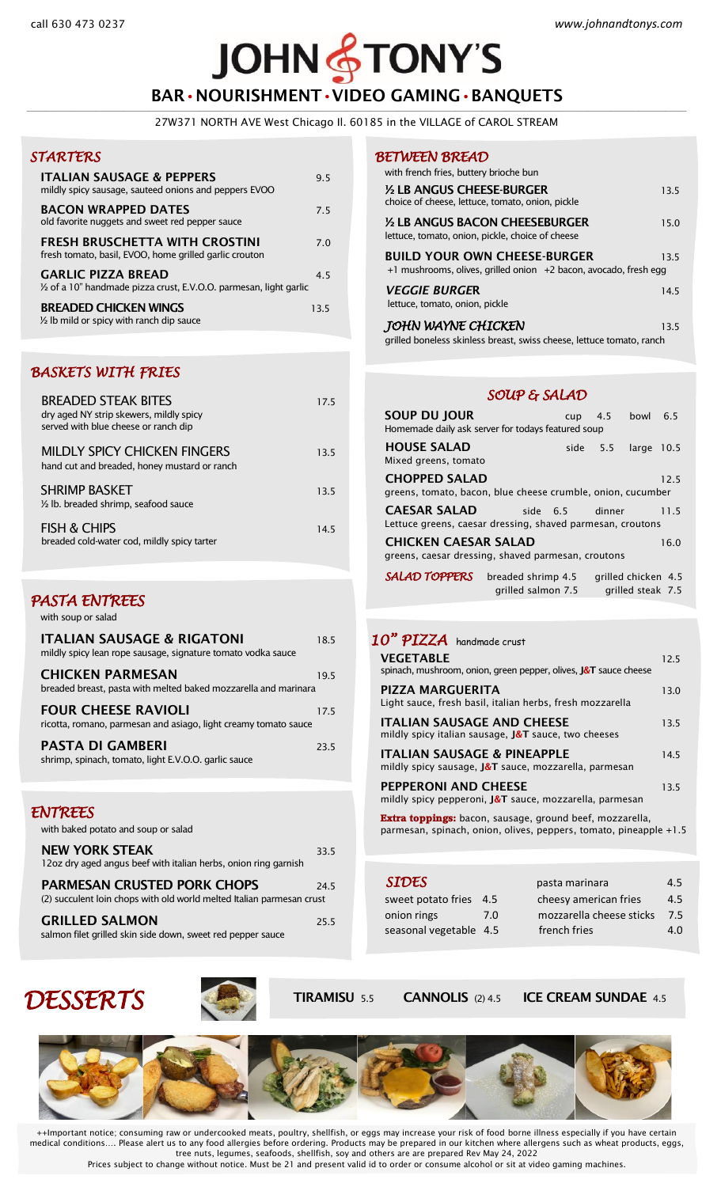## **JOHN STONY'S** BAR•NOURISHMENT•VIDEO GAMING•BANQUETS

**\_\_\_\_\_\_\_\_\_\_\_\_\_\_\_\_\_\_\_\_\_\_\_\_\_\_\_\_\_\_\_\_\_\_\_\_\_\_\_\_\_\_\_\_\_\_\_\_\_\_\_\_\_\_\_\_\_\_\_\_\_\_\_\_\_\_\_\_\_\_\_\_\_\_\_\_\_\_\_\_\_\_\_\_\_\_\_\_\_\_\_\_\_\_\_\_\_\_\_\_\_\_\_\_\_\_\_\_\_\_\_\_\_\_\_\_\_\_\_\_\_\_\_\_\_\_\_\_\_\_\_\_\_\_\_\_\_\_\_\_\_\_\_\_\_\_\_\_\_\_\_\_\_\_\_\_\_\_\_\_\_\_\_\_\_\_\_\_\_\_\_\_\_\_\_\_\_\_\_\_\_\_\_\_\_\_\_\_\_\_\_\_\_\_\_\_\_\_\_\_\_\_\_\_\_\_\_\_\_\_\_\_\_\_\_\_\_\_\_\_\_\_\_\_\_\_\_\_\_\_\_\_\_\_\_\_\_\_\_\_\_\_\_\_\_\_\_\_\_\_\_\_\_\_\_\_\_\_\_\_\_\_\_\_\_\_\_\_\_\_\_\_\_\_\_\_\_\_\_\_** 27W371 NORTH AVE West Chicago Il. 60185 in the VILLAGE of CAROL STREAM

### *STARTERS*

| <b>ITALIAN SAUSAGE &amp; PEPPERS</b><br>mildly spicy sausage, sauteed onions and peppers EVOO   | 95   |
|-------------------------------------------------------------------------------------------------|------|
| <b>BACON WRAPPED DATES</b><br>old favorite nuggets and sweet red pepper sauce                   | 75   |
| FRESH BRUSCHETTA WITH CROSTINI<br>fresh tomato, basil, EVOO, home grilled garlic crouton        | 7 0  |
| <b>GARLIC PIZZA BREAD</b><br>1/2 of a 10" handmade pizza crust, E.V.O.O. parmesan, light garlic | 45   |
| <b>BREADED CHICKEN WINGS</b><br>$\frac{1}{2}$ lb mild or spicy with ranch dip sauce             | 13.5 |

#### *BASKETS WITH FRIES*

| <b>BREADED STEAK BITES</b><br>dry aged NY strip skewers, mildly spicy<br>served with blue cheese or ranch dip | 175  |
|---------------------------------------------------------------------------------------------------------------|------|
| <b>MILDLY SPICY CHICKEN FINGERS</b><br>hand cut and breaded, honey mustard or ranch                           | 13.5 |
| <b>SHRIMP BASKET</b><br>1/2 lb. breaded shrimp, seafood sauce                                                 | 13.5 |
| <b>FISH &amp; CHIPS</b><br>breaded cold-water cod, mildly spicy tarter                                        | 145  |

### *PASTA ENTREES*

with soup or salad

| <b>ITALIAN SAUSAGE &amp; RIGATONI</b><br>mildly spicy lean rope sausage, signature tomato vodka sauce | 185  |
|-------------------------------------------------------------------------------------------------------|------|
| <b>CHICKEN PARMESAN</b><br>breaded breast, pasta with melted baked mozzarella and marinara            | 195  |
| <b>FOUR CHEESE RAVIOLI</b><br>ricotta, romano, parmesan and asiago, light creamy tomato sauce         | 175  |
| <b>PASTA DI GAMBERI</b><br>shrimp, spinach, tomato, light E.V.O.O. garlic sauce                       | 23.5 |

#### *ENTREES*

| with baked potato and soup or salad                                                                         |      |
|-------------------------------------------------------------------------------------------------------------|------|
| <b>NEW YORK STEAK</b><br>12oz dry aged angus beef with italian herbs, onion ring garnish                    | 33.5 |
| <b>PARMESAN CRUSTED PORK CHOPS</b><br>(2) succulent loin chops with old world melted Italian parmesan crust | 24.5 |
| <b>GRILLED SALMON</b><br>salmon filet grilled skin side down, sweet red pepper sauce                        | 25.5 |

#### *BETWEEN BREAD*

| with french fries, buttery brioche bun                                                                  |      |
|---------------------------------------------------------------------------------------------------------|------|
| 1/2 LB ANGUS CHEESE-BURGER<br>choice of cheese, lettuce, tomato, onion, pickle                          | 13.5 |
| 1/2 LB ANGUS BACON CHEESEBURGER<br>lettuce, tomato, onion, pickle, choice of cheese                     | 15.0 |
| <b>BUILD YOUR OWN CHEESE-BURGER</b><br>+1 mushrooms, olives, grilled onion +2 bacon, avocado, fresh egg | 13.5 |
| <b>VEGGIE BURGER</b><br>lettuce, tomato, onion, pickle                                                  | 14.5 |
| JOHN WAYNE CHICKEN                                                                                      | 13.5 |

grilled boneless skinless breast, swiss cheese, lettuce tomato, ranch

### *SOUP & SALAD*

| <b>SOUP DU JOUR</b><br>Homemade daily ask server for todays featured soup                 |                    | cup      | 4.5      | bowl                                     | 6.5  |
|-------------------------------------------------------------------------------------------|--------------------|----------|----------|------------------------------------------|------|
| <b>HOUSE SALAD</b><br>Mixed greens, tomato                                                |                    |          | side 5.5 | large 10.5                               |      |
| <b>CHOPPED SALAD</b><br>greens, tomato, bacon, blue cheese crumble, onion, cucumber       |                    |          |          |                                          | 12.5 |
| <b>CAESAR SALAD</b><br>Lettuce greens, caesar dressing, shaved parmesan, croutons         |                    | side 6.5 | dinner   |                                          | 11.5 |
| <b>CHICKEN CAESAR SALAD</b><br>16.0<br>greens, caesar dressing, shaved parmesan, croutons |                    |          |          |                                          |      |
| <b>SALAD TOPPERS</b> breaded shrimp 4.5                                                   | grilled salmon 7.5 |          |          | grilled chicken 4.5<br>grilled steak 7.5 |      |

## *10" PIZZA* handmade crust

| <b>VEGETABLE</b><br>spinach, mushroom, onion, green pepper, olives, J&T sauce cheese                                                 | 125  |
|--------------------------------------------------------------------------------------------------------------------------------------|------|
| PIZZA MARGUERITA<br>Light sauce, fresh basil, italian herbs, fresh mozzarella                                                        | 13.0 |
| <b>ITALIAN SAUSAGE AND CHEESE</b><br>mildly spicy italian sausage, $\sqrt{2}T$ sauce, two cheeses                                    | 13.5 |
| <b>ITALIAN SAUSAGE &amp; PINEAPPLE</b><br>mildly spicy sausage, <b>J&amp;T</b> sauce, mozzarella, parmesan                           | 145  |
| <b>PEPPERONI AND CHEESE</b><br>mildly spicy pepperoni, <b>J&amp;T</b> sauce, mozzarella, parmesan                                    | 13.5 |
| <b>Extra toppings:</b> bacon, sausage, ground beef, mozzarella,<br>parmesan, spinach, onion, olives, peppers, tomato, pineapple +1.5 |      |

| <b>SIDES</b>           |     | pasta marinara           | 4.5 |
|------------------------|-----|--------------------------|-----|
| sweet potato fries 4.5 |     | cheesy american fries    | 4.5 |
| onion rings            | 7.0 | mozzarella cheese sticks | 7.5 |
| seasonal vegetable 4.5 |     | french fries             | 4.0 |
|                        |     |                          |     |







++Important notice; consuming raw or undercooked meats, poultry, shellfish, or eggs may increase your risk of food borne illness especially if you have certain medical conditions…. Please alert us to any food allergies before ordering. Products may be prepared in our kitchen where allergens such as wheat products, eggs, tree nuts, legumes, seafoods, shellfish, soy and others are are prepared Rev May 24, 2022 Prices subject to change without notice. Must be 21 and present valid id to order or consume alcohol or sit at video gaming machines.